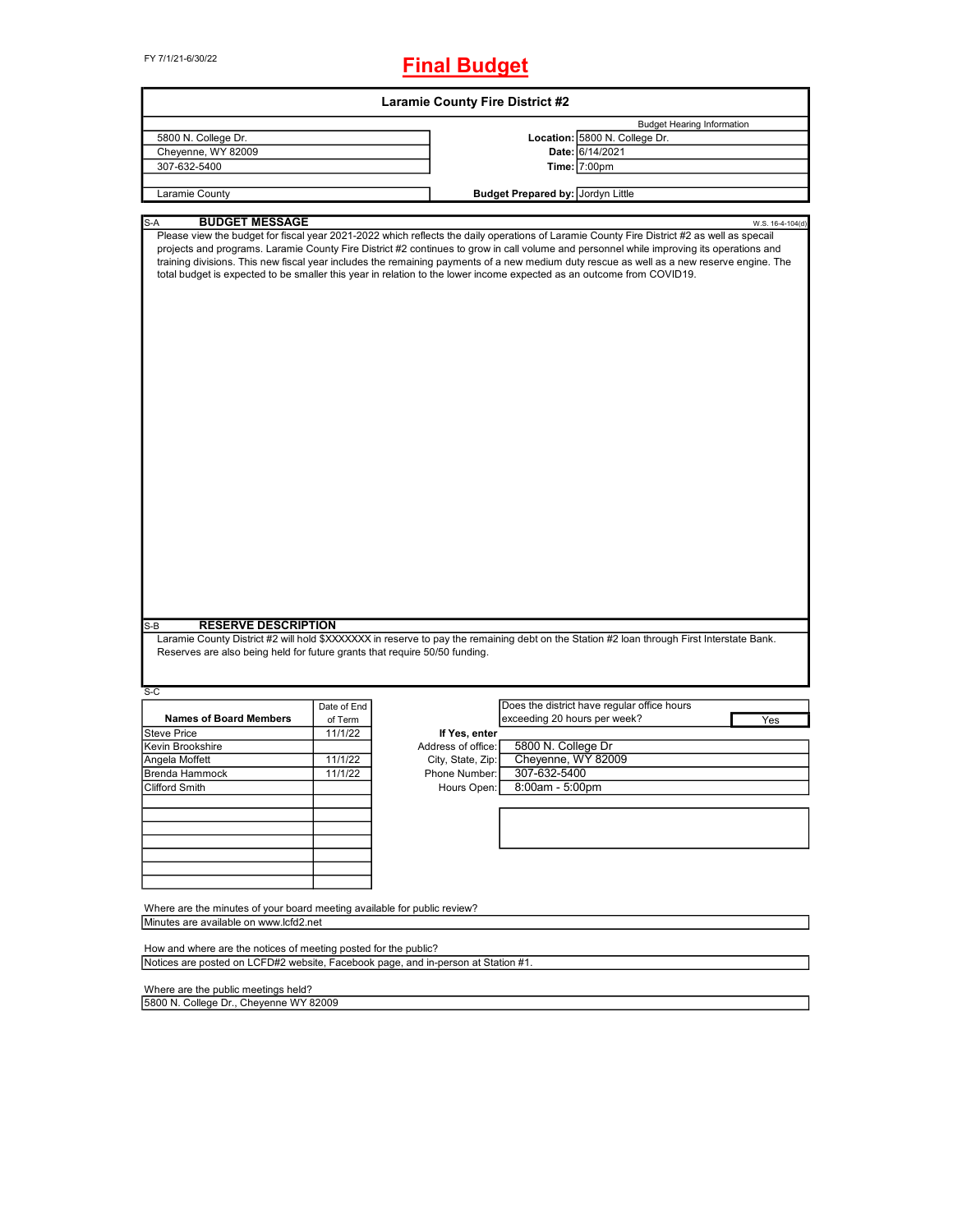FY 7/1/21-6/30/22

## **Final Budget**

| <b>Laramie County Fire District #2</b>                                            |             |                    |                                                                                                                                                                                                                                                                                                                                                                                                                                                                                                                                                                                  |  |  |  |  |  |  |
|-----------------------------------------------------------------------------------|-------------|--------------------|----------------------------------------------------------------------------------------------------------------------------------------------------------------------------------------------------------------------------------------------------------------------------------------------------------------------------------------------------------------------------------------------------------------------------------------------------------------------------------------------------------------------------------------------------------------------------------|--|--|--|--|--|--|
| <b>Budget Hearing Information</b>                                                 |             |                    |                                                                                                                                                                                                                                                                                                                                                                                                                                                                                                                                                                                  |  |  |  |  |  |  |
| 5800 N. College Dr.                                                               |             |                    | Location: 5800 N. College Dr.                                                                                                                                                                                                                                                                                                                                                                                                                                                                                                                                                    |  |  |  |  |  |  |
| Cheyenne, WY 82009                                                                |             |                    | Date: 6/14/2021                                                                                                                                                                                                                                                                                                                                                                                                                                                                                                                                                                  |  |  |  |  |  |  |
| 307-632-5400                                                                      |             |                    | Time: 7:00pm                                                                                                                                                                                                                                                                                                                                                                                                                                                                                                                                                                     |  |  |  |  |  |  |
|                                                                                   |             |                    |                                                                                                                                                                                                                                                                                                                                                                                                                                                                                                                                                                                  |  |  |  |  |  |  |
| Laramie County                                                                    |             |                    | Budget Prepared by: Jordyn Little                                                                                                                                                                                                                                                                                                                                                                                                                                                                                                                                                |  |  |  |  |  |  |
|                                                                                   |             |                    |                                                                                                                                                                                                                                                                                                                                                                                                                                                                                                                                                                                  |  |  |  |  |  |  |
| <b>BUDGET MESSAGE</b><br>S-A                                                      |             |                    | W.S. 16-4-104(d)<br>Please view the budget for fiscal year 2021-2022 which reflects the daily operations of Laramie County Fire District #2 as well as specail<br>projects and programs. Laramie County Fire District #2 continues to grow in call volume and personnel while improving its operations and<br>training divisions. This new fiscal year includes the remaining payments of a new medium duty rescue as well as a new reserve engine. The<br>total budget is expected to be smaller this year in relation to the lower income expected as an outcome from COVID19. |  |  |  |  |  |  |
|                                                                                   |             |                    |                                                                                                                                                                                                                                                                                                                                                                                                                                                                                                                                                                                  |  |  |  |  |  |  |
| S-B<br><b>RESERVE DESCRIPTION</b>                                                 |             |                    |                                                                                                                                                                                                                                                                                                                                                                                                                                                                                                                                                                                  |  |  |  |  |  |  |
| Reserves are also being held for future grants that require 50/50 funding.        |             |                    | Laramie County District #2 will hold \$XXXXXXX in reserve to pay the remaining debt on the Station #2 loan through First Interstate Bank.                                                                                                                                                                                                                                                                                                                                                                                                                                        |  |  |  |  |  |  |
| $S-C$                                                                             |             |                    |                                                                                                                                                                                                                                                                                                                                                                                                                                                                                                                                                                                  |  |  |  |  |  |  |
|                                                                                   | Date of End |                    | Does the district have regular office hours                                                                                                                                                                                                                                                                                                                                                                                                                                                                                                                                      |  |  |  |  |  |  |
| <b>Names of Board Members</b>                                                     | of Term     |                    | exceeding 20 hours per week?<br>Yes                                                                                                                                                                                                                                                                                                                                                                                                                                                                                                                                              |  |  |  |  |  |  |
| <b>Steve Price</b>                                                                | 11/1/22     | If Yes, enter      |                                                                                                                                                                                                                                                                                                                                                                                                                                                                                                                                                                                  |  |  |  |  |  |  |
| Kevin Brookshire                                                                  |             | Address of office: | 5800 N. College Dr                                                                                                                                                                                                                                                                                                                                                                                                                                                                                                                                                               |  |  |  |  |  |  |
| Angela Moffett                                                                    | 11/1/22     | City, State, Zip:  | Cheyenne, WY 82009                                                                                                                                                                                                                                                                                                                                                                                                                                                                                                                                                               |  |  |  |  |  |  |
| Brenda Hammock                                                                    | 11/1/22     | Phone Number:      | 307-632-5400                                                                                                                                                                                                                                                                                                                                                                                                                                                                                                                                                                     |  |  |  |  |  |  |
| Clifford Smith                                                                    |             | Hours Open:        | 8:00am - 5:00pm                                                                                                                                                                                                                                                                                                                                                                                                                                                                                                                                                                  |  |  |  |  |  |  |
|                                                                                   |             |                    |                                                                                                                                                                                                                                                                                                                                                                                                                                                                                                                                                                                  |  |  |  |  |  |  |
|                                                                                   |             |                    |                                                                                                                                                                                                                                                                                                                                                                                                                                                                                                                                                                                  |  |  |  |  |  |  |
|                                                                                   |             |                    |                                                                                                                                                                                                                                                                                                                                                                                                                                                                                                                                                                                  |  |  |  |  |  |  |
|                                                                                   |             |                    |                                                                                                                                                                                                                                                                                                                                                                                                                                                                                                                                                                                  |  |  |  |  |  |  |
|                                                                                   |             |                    |                                                                                                                                                                                                                                                                                                                                                                                                                                                                                                                                                                                  |  |  |  |  |  |  |
|                                                                                   |             |                    |                                                                                                                                                                                                                                                                                                                                                                                                                                                                                                                                                                                  |  |  |  |  |  |  |
|                                                                                   |             |                    |                                                                                                                                                                                                                                                                                                                                                                                                                                                                                                                                                                                  |  |  |  |  |  |  |
|                                                                                   |             |                    |                                                                                                                                                                                                                                                                                                                                                                                                                                                                                                                                                                                  |  |  |  |  |  |  |
| Where are the minutes of your board meeting available for public review?          |             |                    |                                                                                                                                                                                                                                                                                                                                                                                                                                                                                                                                                                                  |  |  |  |  |  |  |
| Minutes are available on www.lcfd2.net                                            |             |                    |                                                                                                                                                                                                                                                                                                                                                                                                                                                                                                                                                                                  |  |  |  |  |  |  |
|                                                                                   |             |                    |                                                                                                                                                                                                                                                                                                                                                                                                                                                                                                                                                                                  |  |  |  |  |  |  |
| How and where are the notices of meeting posted for the public?                   |             |                    |                                                                                                                                                                                                                                                                                                                                                                                                                                                                                                                                                                                  |  |  |  |  |  |  |
| Notices are posted on LCFD#2 website, Facebook page, and in-person at Station #1. |             |                    |                                                                                                                                                                                                                                                                                                                                                                                                                                                                                                                                                                                  |  |  |  |  |  |  |
|                                                                                   |             |                    |                                                                                                                                                                                                                                                                                                                                                                                                                                                                                                                                                                                  |  |  |  |  |  |  |
| Where are the public meetings held?                                               |             |                    |                                                                                                                                                                                                                                                                                                                                                                                                                                                                                                                                                                                  |  |  |  |  |  |  |
| 5800 N. College Dr., Cheyenne WY 82009                                            |             |                    |                                                                                                                                                                                                                                                                                                                                                                                                                                                                                                                                                                                  |  |  |  |  |  |  |

5800 N. College Dr., Cheyenne WY 82009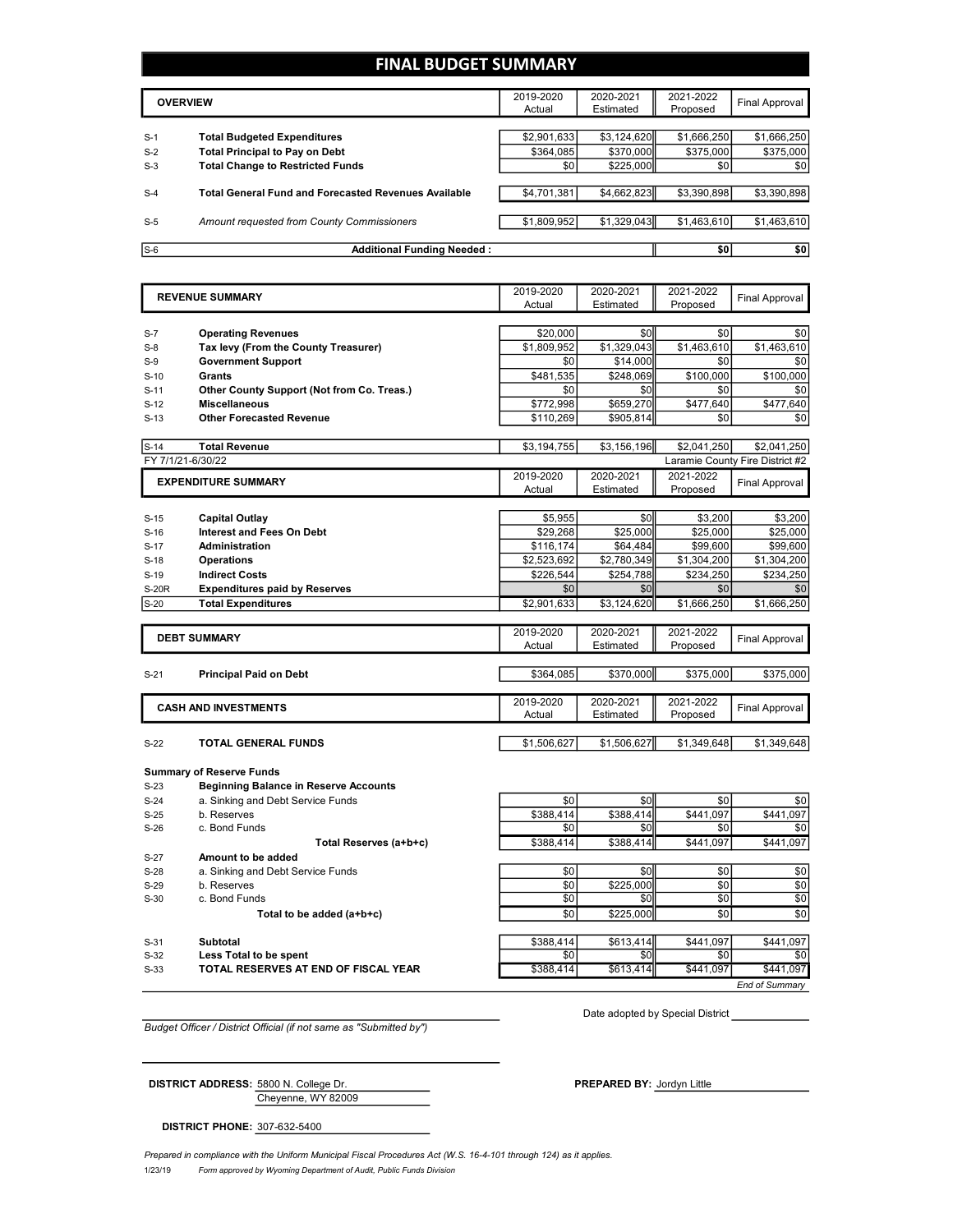#### **FINAL BUDGET SUMMARY**

|       | <b>OVERVIEW</b>                                             | 2019-2020<br>Actual | 2020-2021<br>Estimated | 2021-2022<br>Proposed | Final Approval |
|-------|-------------------------------------------------------------|---------------------|------------------------|-----------------------|----------------|
|       |                                                             |                     |                        |                       |                |
| $S-1$ | <b>Total Budgeted Expenditures</b>                          | \$2,901,633         | \$3,124,620            | \$1,666,250           | \$1,666,250    |
| $S-2$ | <b>Total Principal to Pay on Debt</b>                       | \$364.085           | \$370,000              | \$375,000             | \$375,000      |
| $S-3$ | <b>Total Change to Restricted Funds</b>                     | \$0                 | \$225,000              | \$0                   | \$0            |
|       |                                                             |                     |                        |                       |                |
| $S-4$ | <b>Total General Fund and Forecasted Revenues Available</b> | \$4,701,381         | \$4,662,823            | \$3,390,898           | \$3,390,898    |
|       |                                                             |                     |                        |                       |                |
| $S-5$ | Amount requested from County Commissioners                  | \$1,809,952         | \$1,329,043            | \$1,463,610           | \$1,463,610    |
|       |                                                             |                     |                        |                       |                |
| $S-6$ | <b>Additional Funding Needed:</b>                           |                     |                        | \$0                   | \$0            |

|              | <b>REVENUE SUMMARY</b>                       | 2019-2020   | 2020-2021   | 2021-2022   | <b>Final Approval</b>           |
|--------------|----------------------------------------------|-------------|-------------|-------------|---------------------------------|
|              |                                              | Actual      | Estimated   | Proposed    |                                 |
| $S-7$        | <b>Operating Revenues</b>                    | \$20,000    | \$0         | \$0         | \$0                             |
| $S-8$        | Tax levy (From the County Treasurer)         | \$1.809.952 | \$1,329,043 | \$1,463,610 | \$1,463,610                     |
| $S-9$        | <b>Government Support</b>                    | \$0         | \$14,000    | \$0         | \$0                             |
| $S-10$       | Grants                                       | \$481,535   | \$248,069   | \$100,000   | \$100,000                       |
| $S-11$       | Other County Support (Not from Co. Treas.)   | \$0         | \$0         | \$0         | \$0                             |
| $S-12$       | <b>Miscellaneous</b>                         | \$772,998   | \$659,270   | \$477,640   | \$477,640                       |
|              | <b>Other Forecasted Revenue</b>              | \$110,269   |             | \$0         |                                 |
| $S-13$       |                                              |             | \$905,814   |             | \$0                             |
| $S-14$       | <b>Total Revenue</b>                         | \$3,194,755 | \$3,156,196 | \$2,041,250 | \$2,041,250                     |
|              | FY 7/1/21-6/30/22                            |             |             |             | Laramie County Fire District #2 |
|              | <b>EXPENDITURE SUMMARY</b>                   | 2019-2020   | 2020-2021   | 2021-2022   |                                 |
|              |                                              | Actual      | Estimated   | Proposed    | Final Approval                  |
|              |                                              |             |             |             |                                 |
| $S-15$       | <b>Capital Outlay</b>                        | \$5,955     | \$0         | \$3,200     | \$3,200                         |
| $S-16$       | <b>Interest and Fees On Debt</b>             | \$29,268    | \$25,000    | \$25,000    | \$25,000                        |
| $S-17$       | Administration                               | \$116,174   | \$64,484    | \$99,600    | \$99,600                        |
| $S-18$       | <b>Operations</b>                            | \$2,523,692 | \$2,780,349 | \$1,304,200 | \$1,304,200                     |
| $S-19$       | <b>Indirect Costs</b>                        | \$226,544   | \$254,788   | \$234,250   | \$234,250                       |
| <b>S-20R</b> | <b>Expenditures paid by Reserves</b>         | \$0         | \$0         | \$0         | \$0                             |
| $S-20$       | <b>Total Expenditures</b>                    | \$2,901,633 | \$3,124,620 | \$1,666,250 | \$1,666,250                     |
|              |                                              |             |             |             |                                 |
|              | <b>DEBT SUMMARY</b>                          | 2019-2020   | 2020-2021   | 2021-2022   | <b>Final Approval</b>           |
|              |                                              | Actual      | Estimated   | Proposed    |                                 |
| $S-21$       | <b>Principal Paid on Debt</b>                | \$364,085   | \$370,000   | \$375,000   | \$375,000                       |
|              |                                              |             |             |             |                                 |
|              | <b>CASH AND INVESTMENTS</b>                  | 2019-2020   | 2020-2021   | 2021-2022   |                                 |
|              |                                              | Actual      | Estimated   | Proposed    | Final Approval                  |
|              |                                              |             |             |             |                                 |
| $S-22$       | <b>TOTAL GENERAL FUNDS</b>                   | \$1,506,627 | \$1,506,627 | \$1,349,648 | \$1,349,648                     |
|              | <b>Summary of Reserve Funds</b>              |             |             |             |                                 |
| $S-23$       | <b>Beginning Balance in Reserve Accounts</b> |             |             |             |                                 |
| $S-24$       | a. Sinking and Debt Service Funds            | \$0         | \$0         | \$0         | \$0                             |
| $S-25$       | b. Reserves                                  | \$388,414   | \$388,414   | \$441,097   | \$441,097                       |
| $S-26$       | c. Bond Funds                                | \$0         | \$0         | \$0         | \$0                             |
|              | Total Reserves (a+b+c)                       | \$388,414   | \$388,414   | \$441,097   | \$441,097                       |
| $S-27$       | Amount to be added                           |             |             |             |                                 |
| $S-28$       | a. Sinking and Debt Service Funds            | \$0         | \$0         | \$0         | \$0                             |
|              |                                              | $\sim$      | 000500      | $\sim$      | $\sim$                          |

- 
- S-30 c. Bond Funds
	- **Total** to be added (a+b+c)

| --- |                                     |
|-----|-------------------------------------|
| 33  | TOTAL RESERVES AT END OF FISCAL YEA |

|        |                                      | ÷.        |           | ÷-        |                  |
|--------|--------------------------------------|-----------|-----------|-----------|------------------|
|        | Total Reserves (a+b+c)               | \$388.414 | \$388,414 | \$441.097 | \$441,097        |
| S-27   | Amount to be added                   |           |           |           |                  |
| $S-28$ | a. Sinking and Debt Service Funds    | \$0       | \$0       | \$0       | \$0 <sub>1</sub> |
| S-29   | b. Reserves                          | \$0       | \$225,000 | \$0       | \$0              |
| S-30   | c. Bond Funds                        | \$0       | \$0       | \$0       | \$0              |
|        | Total to be added (a+b+c)            | \$0       | \$225,000 | \$0       | \$0              |
| $S-31$ | Subtotal                             | \$388,414 | \$613,414 | \$441.097 | \$441,097        |
| $S-32$ | Less Total to be spent               | \$0       | \$0       | \$0       | \$0              |
| $S-33$ | TOTAL RESERVES AT END OF FISCAL YEAR | \$388,414 | \$613,414 | \$441.097 | \$441,097        |

*End of Summary*

*Budget Officer / District Official (if not same as "Submitted by")*

Date adopted by Special District

Cheyenne, WY 82009 **DISTRICT ADDRESS:** 5800 N. College Dr. **PREPARED BY:** Jordyn Little

**DISTRICT PHONE:** 307-632-5400

1/23/19 *Form approved by Wyoming Department of Audit, Public Funds Division Prepared in compliance with the Uniform Municipal Fiscal Procedures Act (W.S. 16-4-101 through 124) as it applies.*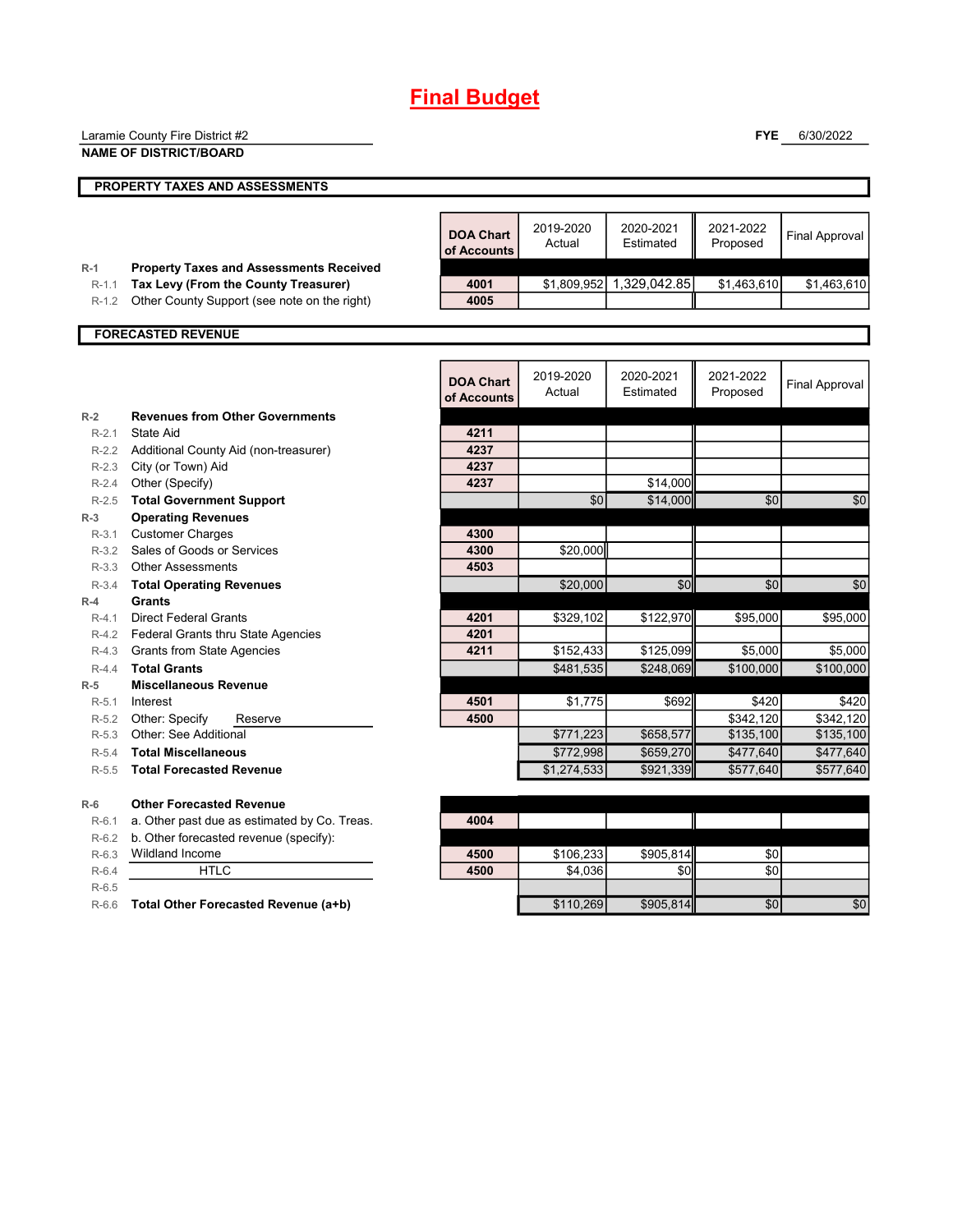# **Final Budget**

|                  | Laramie County Fire District #2                                                        |                                 |                     |                          | <b>FYE</b>            | 6/30/2022             |
|------------------|----------------------------------------------------------------------------------------|---------------------------------|---------------------|--------------------------|-----------------------|-----------------------|
|                  | <b>NAME OF DISTRICT/BOARD</b>                                                          |                                 |                     |                          |                       |                       |
|                  | PROPERTY TAXES AND ASSESSMENTS                                                         |                                 |                     |                          |                       |                       |
|                  |                                                                                        |                                 |                     |                          |                       |                       |
|                  |                                                                                        | <b>DOA Chart</b><br>of Accounts | 2019-2020<br>Actual | 2020-2021<br>Estimated   | 2021-2022<br>Proposed | <b>Final Approval</b> |
| $R-1$<br>$R-1.1$ | <b>Property Taxes and Assessments Received</b><br>Tax Levy (From the County Treasurer) | 4001                            |                     | \$1,809,952 1,329,042.85 | \$1,463,610           | \$1,463,610           |
| $R-1.2$          | Other County Support (see note on the right)                                           | 4005                            |                     |                          |                       |                       |
|                  |                                                                                        |                                 |                     |                          |                       |                       |
|                  | <b>FORECASTED REVENUE</b>                                                              |                                 |                     |                          |                       |                       |
|                  |                                                                                        |                                 |                     |                          |                       |                       |
|                  |                                                                                        | <b>DOA Chart</b><br>of Accounts | 2019-2020<br>Actual | 2020-2021<br>Estimated   | 2021-2022<br>Proposed | <b>Final Approval</b> |
| $R-2$            | <b>Revenues from Other Governments</b>                                                 |                                 |                     |                          |                       |                       |
| $R - 2.1$        | State Aid                                                                              | 4211                            |                     |                          |                       |                       |
| $R-2.2$          | Additional County Aid (non-treasurer)                                                  | 4237                            |                     |                          |                       |                       |
| $R-2.3$          | City (or Town) Aid                                                                     | 4237<br>4237                    |                     | \$14,000                 |                       |                       |
| $R-2.4$          | Other (Specify)                                                                        |                                 | \$0                 |                          |                       |                       |
| $R-2.5$<br>$R-3$ | <b>Total Government Support</b><br><b>Operating Revenues</b>                           |                                 |                     | \$14,000                 | \$0                   | \$0                   |
| $R-3.1$          | <b>Customer Charges</b>                                                                | 4300                            |                     |                          |                       |                       |
| $R-3.2$          | Sales of Goods or Services                                                             | 4300                            | \$20,000            |                          |                       |                       |
| $R-3.3$          | <b>Other Assessments</b>                                                               | 4503                            |                     |                          |                       |                       |
| $R-3.4$          | <b>Total Operating Revenues</b>                                                        |                                 | \$20,000            | \$0                      | \$0                   | \$0                   |
| $R-4$            | <b>Grants</b>                                                                          |                                 |                     |                          |                       |                       |
| $R-4.1$          | <b>Direct Federal Grants</b>                                                           | 4201                            | \$329,102           | \$122,970                | \$95,000              | \$95.000              |
| R-4.2            | Federal Grants thru State Agencies                                                     | 4201                            |                     |                          |                       |                       |
| R-4.3            | Grants from State Agencies                                                             | 4211                            | \$152,433           | \$125,099                | \$5,000               | \$5,000               |
| $R-4.4$          | <b>Total Grants</b>                                                                    |                                 | \$481,535           | \$248,069                | \$100,000             | \$100,000             |
| $R-5$            | <b>Miscellaneous Revenue</b>                                                           |                                 |                     |                          |                       |                       |
| $R-5.1$          | Interest                                                                               | 4501                            | \$1,775             | \$692                    | \$420                 | \$420                 |
| $R-5.2$          | Other: Specify<br>Reserve                                                              | 4500                            |                     |                          | \$342,120             | \$342,120             |
| $R-5.3$          | Other: See Additional                                                                  |                                 | \$771,223           | \$658,577                | \$135,100             | \$135,100             |
| $R-5.4$          | <b>Total Miscellaneous</b>                                                             |                                 | \$772,998           | \$659.270                | \$477.640             | \$477,640             |
| $R-5.5$          | <b>Total Forecasted Revenue</b>                                                        |                                 | \$1,274,533         | \$921,339                | \$577,640             | \$577,640             |
| $R-6$            | <b>Other Forecasted Revenue</b>                                                        |                                 |                     |                          |                       |                       |
| $R-6.1$          | a. Other past due as estimated by Co. Treas.                                           | 4004                            |                     |                          |                       |                       |
| $R-6.2$          | b. Other forecasted revenue (specify):                                                 |                                 |                     |                          |                       |                       |
| $R-6.3$          | Wildland Income                                                                        | 4500                            | \$106,233           | \$905,814                | \$0                   |                       |
| $R-6.4$          | <b>HTLC</b>                                                                            | 4500                            | \$4,036             | \$0                      | \$0                   |                       |
| $R-6.5$          |                                                                                        |                                 |                     |                          |                       |                       |
| R-6.6            | Total Other Forecasted Revenue (a+b)                                                   |                                 | \$110,269           | \$905,814                | \$0                   | \$0                   |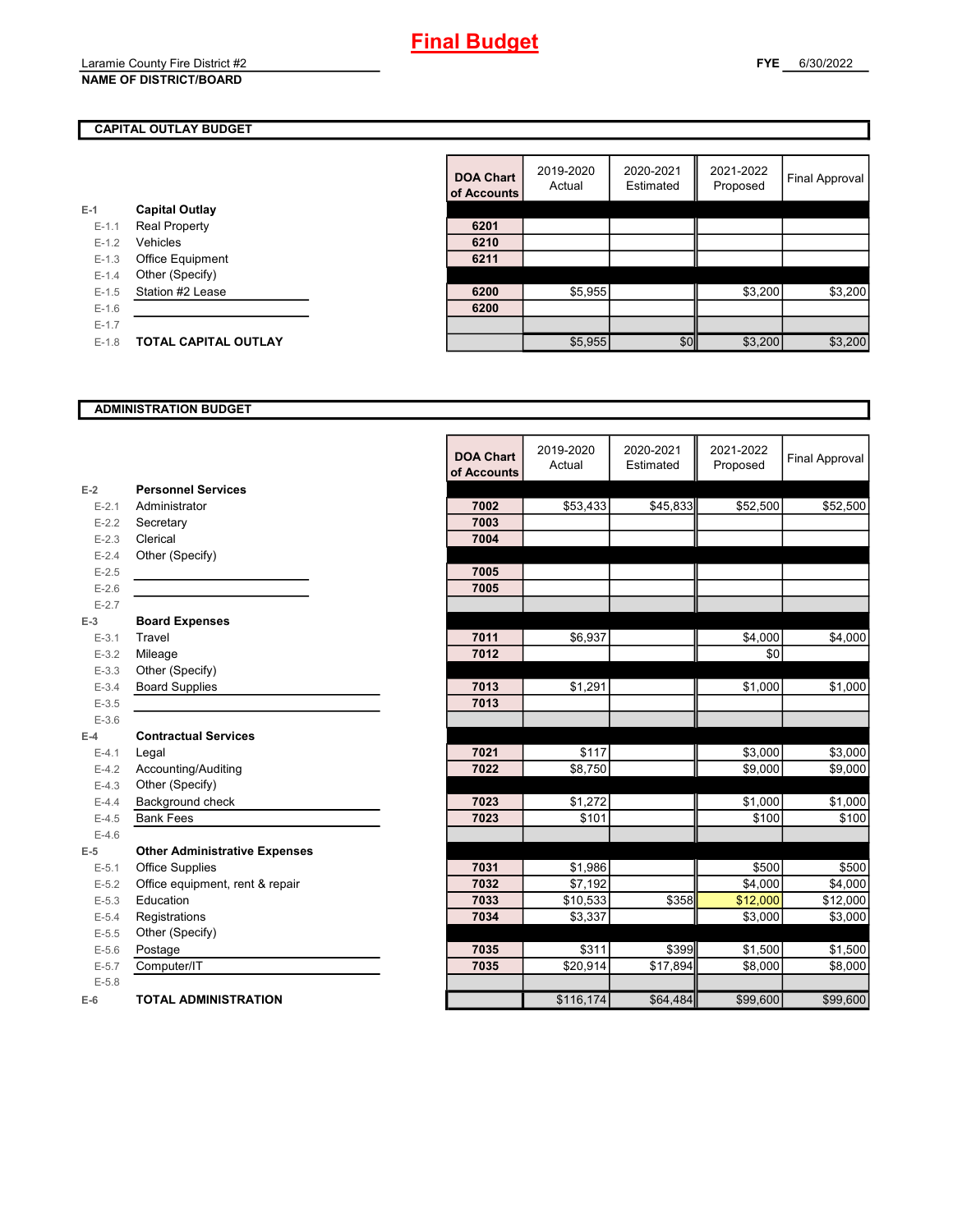#### **NAME OF DISTRICT/BOARD**

#### **CAPITAL OUTLAY BUDGET**

| E-1       | <b>Capital Outlay</b>       |      |
|-----------|-----------------------------|------|
| $E - 1.1$ | <b>Real Property</b>        | 6201 |
| $E - 1.2$ | Vehicles                    | 6210 |
| $E - 1.3$ | <b>Office Equipment</b>     | 6211 |
| $E - 1.4$ | Other (Specify)             |      |
| $E-1.5$   | Station #2 Lease            | 6200 |
| $E-1.6$   |                             | 6200 |
| $E - 1.7$ |                             |      |
| $E-1.8$   | <b>TOTAL CAPITAL OUTLAY</b> |      |
|           |                             |      |

|         |                             | <b>DOA Chart</b><br>of Accounts | 2019-2020<br>Actual | 2020-2021<br>Estimated | 2021-2022<br>Proposed | Final Approval |
|---------|-----------------------------|---------------------------------|---------------------|------------------------|-----------------------|----------------|
|         | <b>Capital Outlay</b>       |                                 |                     |                        |                       |                |
| $E-1.1$ | <b>Real Property</b>        | 6201                            |                     |                        |                       |                |
| $E-1.2$ | Vehicles                    | 6210                            |                     |                        |                       |                |
| $E-1.3$ | Office Equipment            | 6211                            |                     |                        |                       |                |
| $E-1.4$ | Other (Specify)             |                                 |                     |                        |                       |                |
| $E-1.5$ | Station #2 Lease            | 6200                            | \$5,955             |                        | \$3,200               | \$3,200        |
| $E-1.6$ |                             | 6200                            |                     |                        |                       |                |
| $E-1.7$ |                             |                                 |                     |                        |                       |                |
| $E-1.8$ | <b>TOTAL CAPITAL OUTLAY</b> |                                 | \$5,955             | \$0                    | \$3,200               | \$3,200        |

#### **ADMINISTRATION BUDGET**

|           |                                      | <b>DOA Chart</b><br>of Accounts | 2019-2020<br>Actual | 2020-2021<br>Estimated | 2021-2022<br>Proposed | <b>Final Approval</b> |
|-----------|--------------------------------------|---------------------------------|---------------------|------------------------|-----------------------|-----------------------|
| $E-2$     | <b>Personnel Services</b>            |                                 |                     |                        |                       |                       |
| $E - 2.1$ | Administrator                        | 7002                            | \$53,433            | \$45,833               | \$52,500              | \$52,500              |
| $E-2.2$   | Secretary                            | 7003                            |                     |                        |                       |                       |
| $E - 2.3$ | Clerical                             | 7004                            |                     |                        |                       |                       |
| $E-2.4$   | Other (Specify)                      |                                 |                     |                        |                       |                       |
| $E-2.5$   |                                      | 7005                            |                     |                        |                       |                       |
| $E-2.6$   |                                      | 7005                            |                     |                        |                       |                       |
| $E - 2.7$ |                                      |                                 |                     |                        |                       |                       |
| $E-3$     | <b>Board Expenses</b>                |                                 |                     |                        |                       |                       |
| $E - 3.1$ | Travel                               | 7011                            | \$6,937             |                        | \$4,000               | \$4,000               |
| $E - 3.2$ | Mileage                              | 7012                            |                     |                        | \$0                   |                       |
| $E - 3.3$ | Other (Specify)                      |                                 |                     |                        |                       |                       |
| $E - 3.4$ | <b>Board Supplies</b>                | 7013                            | \$1,291             |                        | \$1,000               | \$1,000               |
| $E - 3.5$ |                                      | 7013                            |                     |                        |                       |                       |
| $E-3.6$   |                                      |                                 |                     |                        |                       |                       |
| $E-4$     | <b>Contractual Services</b>          |                                 |                     |                        |                       |                       |
| $E - 4.1$ | Legal                                | 7021                            | \$117               |                        | \$3,000               | \$3,000               |
| $E-4.2$   | Accounting/Auditing                  | 7022                            | \$8.750             |                        | \$9.000               | \$9,000               |
| $E-4.3$   | Other (Specify)                      |                                 |                     |                        |                       |                       |
| $E-4.4$   | Background check                     | 7023                            | \$1,272             |                        | \$1,000               | \$1,000               |
| $E-4.5$   | <b>Bank Fees</b>                     | 7023                            | \$101               |                        | \$100                 | \$100                 |
| $E-4.6$   |                                      |                                 |                     |                        |                       |                       |
| $E-5$     | <b>Other Administrative Expenses</b> |                                 |                     |                        |                       |                       |
| $E - 5.1$ | <b>Office Supplies</b>               | 7031                            | \$1,986             |                        | \$500                 | \$500                 |
| $E - 5.2$ | Office equipment, rent & repair      | 7032                            | \$7,192             |                        | \$4,000               | \$4,000               |
| $E-5.3$   | Education                            | 7033                            | \$10,533            | \$358                  | \$12,000              | \$12,000              |
| $E - 5.4$ | Registrations                        | 7034                            | \$3,337             |                        | \$3,000               | \$3,000               |
| $E-5.5$   | Other (Specify)                      |                                 |                     |                        |                       |                       |
| $E - 5.6$ | Postage                              | 7035                            | \$311               | \$399                  | \$1,500               | \$1,500               |
| $E - 5.7$ | Computer/IT                          | 7035                            | \$20,914            | \$17,894               | \$8,000               | \$8,000               |
| $E - 5.8$ |                                      |                                 |                     |                        |                       |                       |
| $E-6$     | <b>TOTAL ADMINISTRATION</b>          |                                 | \$116,174           | \$64,484               | \$99,600              | \$99,600              |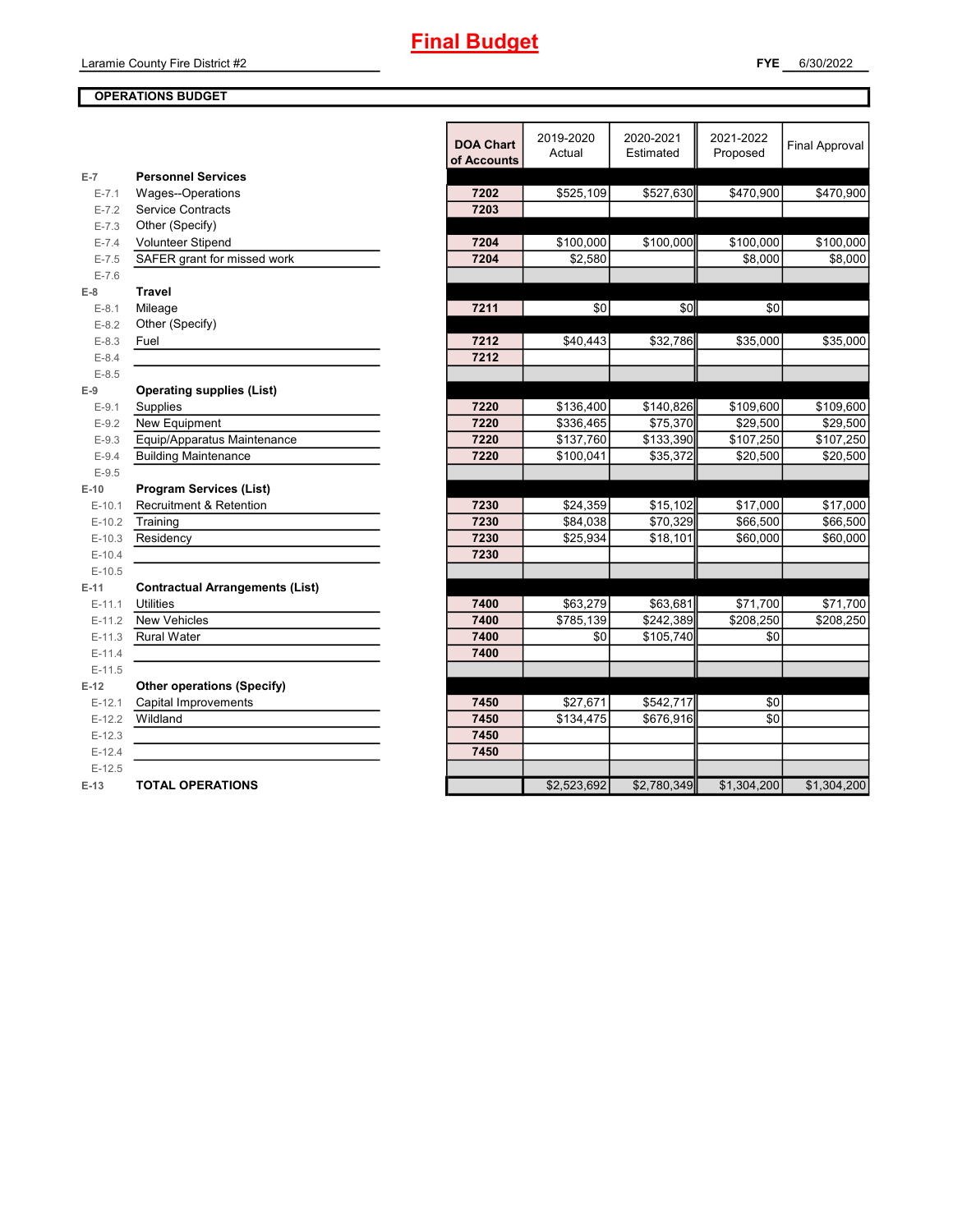#### **OPERATIONS BUDGET**

|           |                                        | <b>DOA Chart</b><br>of Accounts | 2019-2020<br>Actual | 2020-2021<br>Estimated | 2021-2022<br>Proposed | <b>Final Approval</b> |
|-----------|----------------------------------------|---------------------------------|---------------------|------------------------|-----------------------|-----------------------|
| $E-7$     | <b>Personnel Services</b>              |                                 |                     |                        |                       |                       |
| $E - 7.1$ | Wages--Operations                      | 7202                            | \$525,109           | \$527,630              | \$470,900             | \$470,900             |
| $E - 7.2$ | <b>Service Contracts</b>               | 7203                            |                     |                        |                       |                       |
| $E - 7.3$ | Other (Specify)                        |                                 |                     |                        |                       |                       |
| $E - 7.4$ | <b>Volunteer Stipend</b>               | 7204                            | \$100,000           | \$100,000              | \$100,000             | \$100,000             |
| $E - 7.5$ | SAFER grant for missed work            | 7204                            | \$2,580             |                        | \$8,000               | \$8,000               |
| $E - 7.6$ |                                        |                                 |                     |                        |                       |                       |
| $E-8$     | <b>Travel</b>                          |                                 |                     |                        |                       |                       |
| $E-8.1$   | Mileage                                | 7211                            | \$0                 | \$0                    | \$0                   |                       |
| $E-8.2$   | Other (Specify)                        |                                 |                     |                        |                       |                       |
| $E-8.3$   | Fuel                                   | 7212                            | \$40,443            | \$32,786               | \$35,000              | \$35,000              |
| $E - 8.4$ |                                        | 7212                            |                     |                        |                       |                       |
| $E - 8.5$ |                                        |                                 |                     |                        |                       |                       |
| $E-9$     | <b>Operating supplies (List)</b>       |                                 |                     |                        |                       |                       |
| $E-9.1$   | Supplies                               | 7220                            | \$136,400           | \$140,826              | \$109,600             | \$109,600             |
| $E-9.2$   | New Equipment                          | 7220                            | \$336,465           | \$75,370               | \$29,500              | \$29,500              |
| $E-9.3$   | Equip/Apparatus Maintenance            | 7220                            | \$137,760           | \$133,390              | \$107,250             | \$107,250             |
| $E-9.4$   | <b>Building Maintenance</b>            | 7220                            | \$100,041           | \$35,372               | \$20,500              | \$20,500              |
| $E-9.5$   |                                        |                                 |                     |                        |                       |                       |
| $E-10$    | <b>Program Services (List)</b>         |                                 |                     |                        |                       |                       |
| $E-10.1$  | <b>Recruitment &amp; Retention</b>     | 7230                            | \$24,359            | \$15,102               | \$17,000              | \$17,000              |
| $E-10.2$  | Training                               | 7230                            | \$84,038            | \$70,329               | \$66,500              | \$66,500              |
| $E-10.3$  | Residency                              | 7230                            | \$25,934            | \$18,101               | \$60,000              | \$60,000              |
| $E-10.4$  |                                        | 7230                            |                     |                        |                       |                       |
| $E-10.5$  |                                        |                                 |                     |                        |                       |                       |
| $E-11$    | <b>Contractual Arrangements (List)</b> |                                 |                     |                        |                       |                       |
| $E-11.1$  | <b>Utilities</b>                       | 7400                            | \$63,279            | \$63,681               | \$71,700              | \$71,700              |
| $E-11.2$  | <b>New Vehicles</b>                    | 7400                            | \$785,139           | \$242,389              | $\overline{$208,250}$ | \$208,250             |
| $E-11.3$  | <b>Rural Water</b>                     | 7400                            | \$0                 | \$105,740              | \$0                   |                       |
| $E-11.4$  |                                        | 7400                            |                     |                        |                       |                       |
| $E-11.5$  |                                        |                                 |                     |                        |                       |                       |
| $E-12$    | <b>Other operations (Specify)</b>      |                                 |                     |                        |                       |                       |
| $E-12.1$  | Capital Improvements                   | 7450                            | \$27,671            | \$542,717              | \$0                   |                       |
| $E-12.2$  | Wildland                               | 7450                            | \$134,475           | \$676,916              | \$0                   |                       |
| $E-12.3$  |                                        | 7450                            |                     |                        |                       |                       |
| $E-12.4$  |                                        | 7450                            |                     |                        |                       |                       |
| $E-12.5$  |                                        |                                 |                     |                        |                       |                       |
| $E-13$    | <b>TOTAL OPERATIONS</b>                |                                 | \$2,523,692         | \$2,780,349            | \$1,304,200           | \$1,304,200           |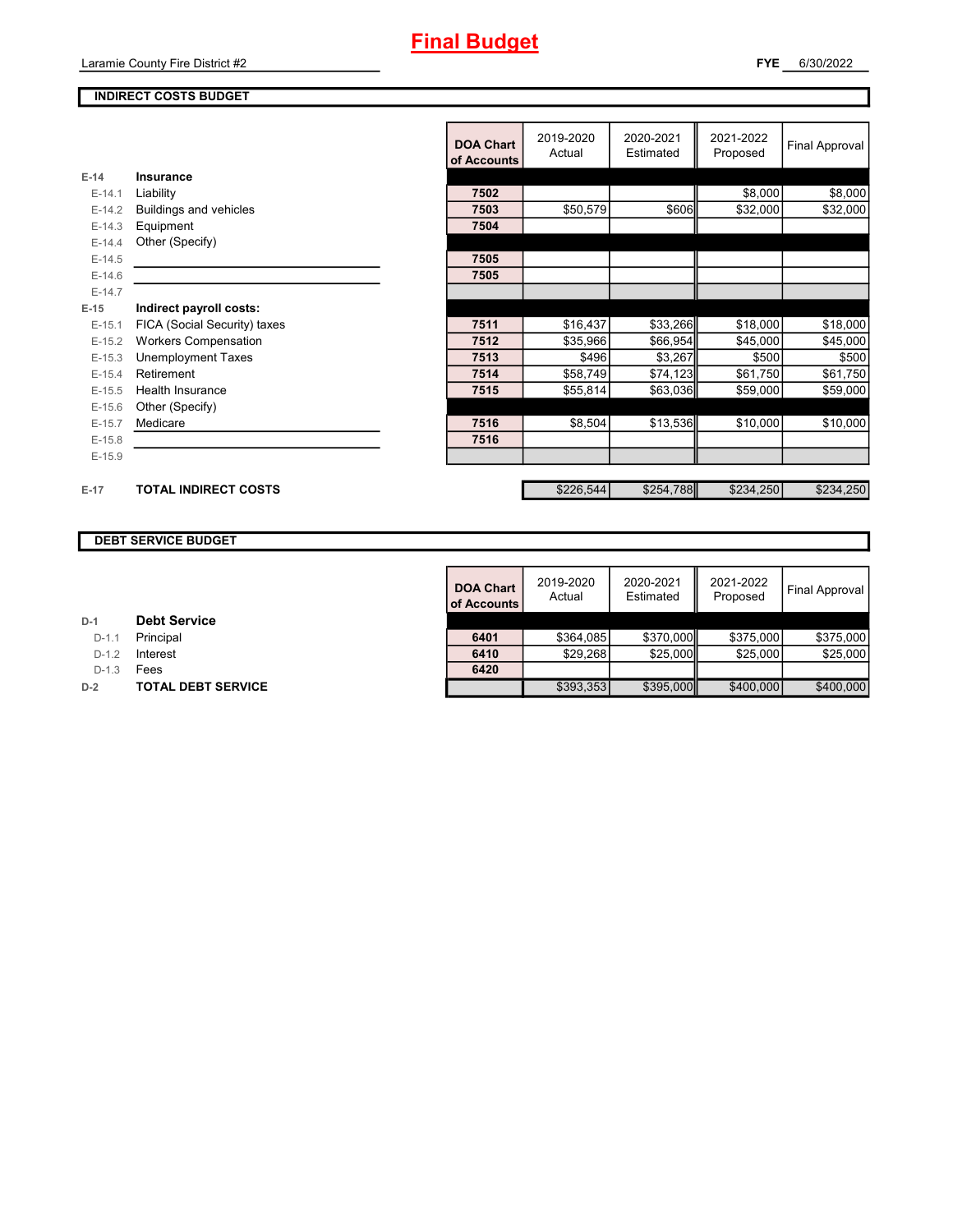## **Final Budget**

Laramie County Fire District #2

#### **INDIRECT COSTS BUDGET**

|          |                               | <b>DOA Chart</b><br>of Accounts | 2019-2020<br>Actual | 2020-2021<br>Estimated | 2021-2022<br>Proposed | <b>Final Approval</b> |
|----------|-------------------------------|---------------------------------|---------------------|------------------------|-----------------------|-----------------------|
| $E-14$   | Insurance                     |                                 |                     |                        |                       |                       |
| $E-14.1$ | Liability                     | 7502                            |                     |                        | \$8,000               | \$8,000               |
| $E-14.2$ | <b>Buildings and vehicles</b> | 7503                            | \$50,579            | \$606                  | \$32,000              | \$32,000              |
| $E-14.3$ | Equipment                     | 7504                            |                     |                        |                       |                       |
| $E-14.4$ | Other (Specify)               |                                 |                     |                        |                       |                       |
| $E-14.5$ |                               | 7505                            |                     |                        |                       |                       |
| $E-14.6$ |                               | 7505                            |                     |                        |                       |                       |
| $E-14.7$ |                               |                                 |                     |                        |                       |                       |
| $E-15$   | Indirect payroll costs:       |                                 |                     |                        |                       |                       |
| $E-15.1$ | FICA (Social Security) taxes  | 7511                            | \$16,437            | \$33,266               | \$18,000              | \$18,000              |
| $E-15.2$ | <b>Workers Compensation</b>   | 7512                            | \$35,966            | \$66,954               | \$45,000              | \$45,000              |
| $E-15.3$ | <b>Unemployment Taxes</b>     | 7513                            | \$496               | \$3,267                | \$500                 | \$500                 |
| $E-15.4$ | Retirement                    | 7514                            | \$58,749            | \$74,123               | \$61,750              | \$61,750              |
| $E-15.5$ | <b>Health Insurance</b>       | 7515                            | \$55,814            | \$63,036               | \$59,000              | \$59,000              |
| $E-15.6$ | Other (Specify)               |                                 |                     |                        |                       |                       |
| $E-15.7$ | Medicare                      | 7516                            | \$8,504             | \$13,536               | \$10,000              | \$10,000              |
| $E-15.8$ |                               | 7516                            |                     |                        |                       |                       |
| $E-15.9$ |                               |                                 |                     |                        |                       |                       |
|          |                               |                                 |                     |                        |                       |                       |
| $E-17$   | <b>TOTAL INDIRECT COSTS</b>   |                                 | \$226,544           | \$254,788              | \$234,250             | \$234,250             |
|          |                               |                                 |                     |                        |                       |                       |

#### **DEBT SERVICE BUDGET**

|         |                           | <b>DOA Chart</b><br>of Accounts | 2019-2020<br>Actual | 2020-2021<br>Estimated | 2021-2022<br>Proposed | Final Approval |
|---------|---------------------------|---------------------------------|---------------------|------------------------|-----------------------|----------------|
|         | <b>Debt Service</b>       |                                 |                     |                        |                       |                |
| $D-1.1$ | Principal                 | 6401                            | \$364.085           | \$370,000              | \$375,000             | \$375,000      |
| $D-1.2$ | Interest                  | 6410                            | \$29.268            | \$25,000               | \$25,000              | \$25,000       |
| $D-1.3$ | Fees                      | 6420                            |                     |                        |                       |                |
|         | <b>TOTAL DEBT SERVICE</b> |                                 | \$393,353           | \$395,000              | \$400,000             | \$400,000      |

| D-1 | <b>Debt Service</b> |
|-----|---------------------|
|-----|---------------------|

**D-1.1 Principal** 

D-1.3 **Fees** 

**D-2 TOTAL DEBT SERVICE**